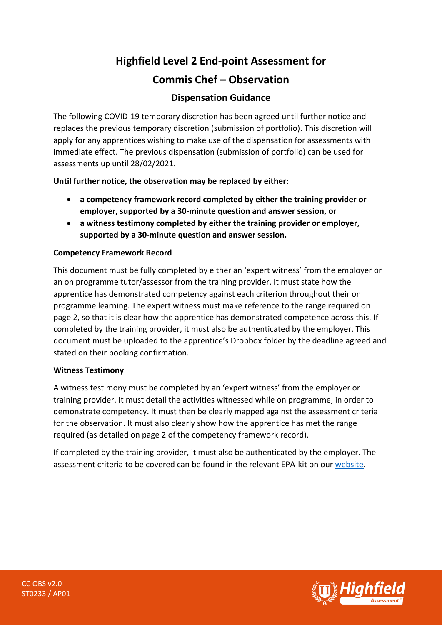# **Highfield Level 2 End-point Assessment for**

# **Commis Chef – Observation**

# **Dispensation Guidance**

The following COVID-19 temporary discretion has been agreed until further notice and replaces the previous temporary discretion (submission of portfolio). This discretion will apply for any apprentices wishing to make use of the dispensation for assessments with immediate effect. The previous dispensation (submission of portfolio) can be used for assessments up until 28/02/2021.

**Until further notice, the observation may be replaced by either:**

- **a competency framework record completed by either the training provider or employer, supported by a 30-minute question and answer session, or**
- **a witness testimony completed by either the training provider or employer, supported by a 30-minute question and answer session.**

## **Competency Framework Record**

This document must be fully completed by either an 'expert witness' from the employer or an on programme tutor/assessor from the training provider. It must state how the apprentice has demonstrated competency against each criterion throughout their on programme learning. The expert witness must make reference to the range required on page 2, so that it is clear how the apprentice has demonstrated competence across this. If completed by the training provider, it must also be authenticated by the employer. This document must be uploaded to the apprentice's Dropbox folder by the deadline agreed and stated on their booking confirmation.

### **Witness Testimony**

A witness testimony must be completed by an 'expert witness' from the employer or training provider. It must detail the activities witnessed while on programme, in order to demonstrate competency. It must then be clearly mapped against the assessment criteria for the observation. It must also clearly show how the apprentice has met the range required (as detailed on page 2 of the competency framework record).

If completed by the training provider, it must also be authenticated by the employer. The assessment criteria to be covered can be found in the relevant EPA-kit on our [website.](https://www.highfieldassessment.com/commis-chef-epa-kit-104)